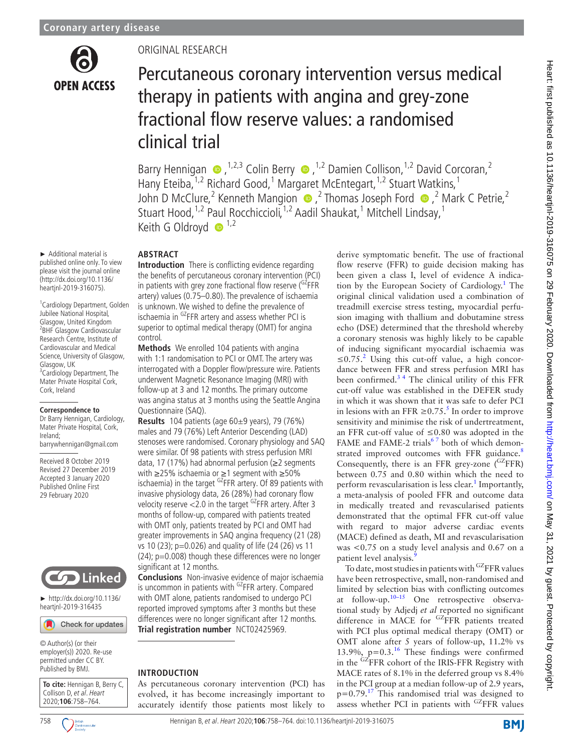

► Additional material is published online only. To view please visit the journal online (http://dx.doi.org/10.1136/ heartjnl-2019-316075).

Glasgow, UK

Cork, Ireland

Ireland;

**Correspondence to** Dr Barry Hennigan, Cardiology, Mater Private Hospital, Cork,

1 Cardiology Department, Golden Jubilee National Hospital, Glasgow, United Kingdom 2 BHF Glasgow Cardiovascular Research Centre, Institute of Cardiovascular and Medical Science, University of Glasgow,

<sup>3</sup> Cardiology Department, The Mater Private Hospital Cork,

barrywhennigan@gmail.com Received 8 October 2019 Revised 27 December 2019 Accepted 3 January 2020 Published Online First 29 February 2020

## Original research

# Percutaneous coronary intervention versus medical therapy in patients with angina and grey-zone fractional flow reserve values: a randomised clinical trial

BarryHennigan  $\bullet$ , <sup>1,2,3</sup> Colin Berry  $\bullet$ , <sup>1,2</sup> Damien Collison, <sup>1,2</sup> David Corcoran, <sup>2</sup> Hany Eteiba, <sup>1,2</sup> Richard Good, <sup>1</sup> Margaret McEntegart, <sup>1,2</sup> Stuart Watkins, <sup>1</sup> JohnD McClure,<sup>2</sup> Kenneth Mangion  $\bullet$  ,<sup>2</sup> Thomas Joseph Ford  $\bullet$  ,<sup>2</sup> Mark C Petrie,<sup>2</sup> Stuart Hood, <sup>1,2</sup> Paul Rocchiccioli, <sup>1,2</sup> Aadil Shaukat, <sup>1</sup> Mitchell Lindsay, <sup>1</sup> Keith G Oldroyd  $\bullet$ <sup>1,2</sup>

## **Abstract**

**Introduction** There is conflicting evidence regarding the benefits of percutaneous coronary intervention (PCI) in patients with grey zone fractional flow reserve (<sup>GZ</sup>FFR artery) values (0.75–0.80). The prevalence of ischaemia is unknown. We wished to define the prevalence of ischaemia in <sup>GZ</sup>FFR artery and assess whether PCI is superior to optimal medical therapy (OMT) for angina control.

**Methods** We enrolled 104 patients with angina with 1:1 randomisation to PCI or OMT. The artery was interrogated with a Doppler flow/pressure wire. Patients underwent Magnetic Resonance Imaging (MRI) with follow-up at 3 and 12 months. The primary outcome was angina status at 3 months using the Seattle Angina Questionnaire (SAQ).

**Results** 104 patients (age 60±9 years), 79 (76%) males and 79 (76%) Left Anterior Descending (LAD) stenoses were randomised. Coronary physiology and SAQ were similar. Of 98 patients with stress perfusion MRI data, 17 (17%) had abnormal perfusion (≥2 segments with ≥25% ischaemia or ≥1 segment with ≥50% ischaemia) in the target <sup>GZ</sup>FFR artery. Of 89 patients with invasive physiology data, 26 (28%) had coronary flow velocity reserve < 2.0 in the target <sup>GZ</sup>FFR artery. After 3 months of follow-up, compared with patients treated with OMT only, patients treated by PCI and OMT had greater improvements in SAQ angina frequency (21 (28) vs 10 (23); p=0.026) and quality of life (24 (26) vs 11 (24); p=0.008) though these differences were no longer significant at 12 months.

**Conclusions** Non-invasive evidence of major ischaemia is uncommon in patients with <sup>GZ</sup>FFR artery. Compared with OMT alone, patients randomised to undergo PCI reported improved symptoms after 3 months but these differences were no longer significant after 12 months. **Trial registration number** <NCT02425969>.

#### **Introduction**

As percutaneous coronary intervention (PCI) has evolved, it has become increasingly important to accurately identify those patients most likely to

derive symptomatic benefit. The use of fractional flow reserve (FFR) to guide decision making has been given a class I, level of evidence A indication by the European Society of Cardiology.<sup>1</sup> The original clinical validation used a combination of treadmill exercise stress testing, myocardial perfusion imaging with thallium and dobutamine stress echo (DSE) determined that the threshold whereby a coronary stenosis was highly likely to be capable of inducing significant myocardial ischaemia was ≤0.75.<sup>[2](#page-5-1)</sup> Using this cut-off value, a high concordance between FFR and stress perfusion MRI has been confirmed.<sup>34</sup> The clinical utility of this FFR cut-off value was established in the DEFER study in which it was shown that it was safe to defer PCI in lesions with an FFR ≥0.7[5](#page-5-3).<sup>5</sup> In order to improve sensitivity and minimise the risk of undertreatment, an FFR cut-off value of  $\leq 0.80$  was adopted in the FAME and FAME-2 trials<sup>67</sup> both of which demon-strated improved outcomes with FFR guidance.<sup>[8](#page-5-5)</sup> Consequently, there is an FFR grey-zone  $(^{GZ}$ FFR) between 0.75 and 0.80 within which the need to perform revascularisation is less clear.<sup>1</sup> Importantly, a meta-analysis of pooled FFR and outcome data in medically treated and revascularised patients demonstrated that the optimal FFR cut-off value with regard to major adverse cardiac events (MACE) defined as death, MI and revascularisation was <0.75 on a study level analysis and 0.67 on a patient level analysis.

To date, most studies in patients with GZFFR values have been retrospective, small, non-randomised and limited by selection bias with conflicting outcomes at follow-up.[10–15](#page-5-7) One retrospective observational study by Adjedj *et al* reported no significant difference in MACE for GZFFR patients treated with PCI plus optimal medical therapy (OMT) or OMT alone after 5 years of follow-up, 11.2% vs 13.9%,  $p=0.3$ <sup>16</sup> These findings were confirmed in the <sup>GZ</sup>FFR cohort of the IRIS-FFR Registry with MACE rates of 8.1% in the deferred group vs 8.4% in the PCI group at a median follow-up of 2.9 years,  $p=0.79$ .<sup>[17](#page-6-1)</sup> This randomised trial was designed to assess whether PCI in patients with GZFFR values

© Author(s) (or their employer(s)) 2020. Re-use permitted under CC BY. Published by BMJ.

**To cite:** Hennigan B, Berry C, Collison D, et al. Heart 2020;**106**:758–764.

► [http://dx.doi.org/10.1136/](http://dx.doi.org/10.1136/heartjnl-2019-316435) [heartjnl-2019-316435](http://dx.doi.org/10.1136/heartjnl-2019-316435)

Check for updates

**Linked** 

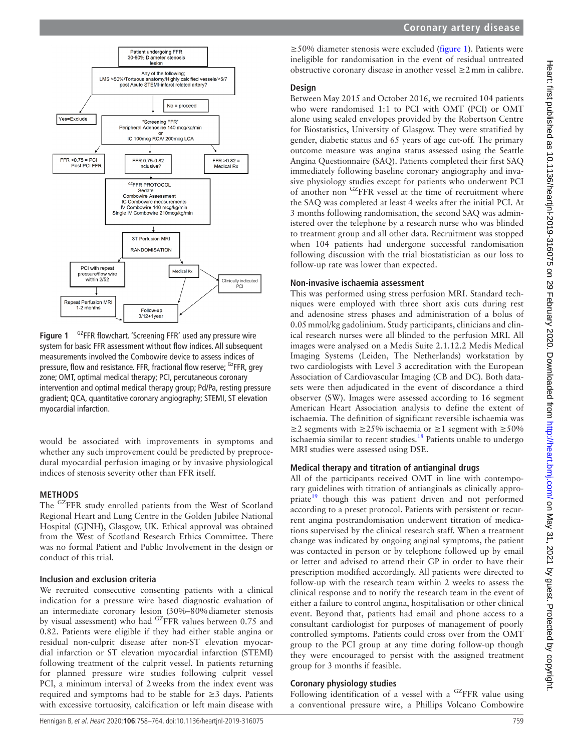

<span id="page-1-0"></span>**Figure 1** <sup>GZ</sup>FFR flowchart. 'Screening FFR' used any pressure wire system for basic FFR assessment without flow indices. All subsequent measurements involved the Combowire device to assess indices of pressure, flow and resistance. FFR, fractional flow reserve; <sup>Gz</sup>FFR, grey zone; OMT, optimal medical therapy; PCI, percutaneous coronary intervention and optimal medical therapy group; Pd/Pa, resting pressure gradient; QCA, quantitative coronary angiography; STEMI, ST elevation myocardial infarction.

would be associated with improvements in symptoms and whether any such improvement could be predicted by preprocedural myocardial perfusion imaging or by invasive physiological indices of stenosis severity other than FFR itself.

## **Methods**

The <sup>GZ</sup>FFR study enrolled patients from the West of Scotland Regional Heart and Lung Centre in the Golden Jubilee National Hospital (GJNH), Glasgow, UK. Ethical approval was obtained from the West of Scotland Research Ethics Committee. There was no formal Patient and Public Involvement in the design or conduct of this trial.

## **Inclusion and exclusion criteria**

We recruited consecutive consenting patients with a clinical indication for a pressure wire based diagnostic evaluation of an intermediate coronary lesion (30%–80% diameter stenosis by visual assessment) who had <sup>GZ</sup>FFR values between 0.75 and 0.82. Patients were eligible if they had either stable angina or residual non-culprit disease after non-ST elevation myocardial infarction or ST elevation myocardial infarction (STEMI) following treatment of the culprit vessel. In patients returning for planned pressure wire studies following culprit vessel PCI, a minimum interval of 2weeks from the index event was required and symptoms had to be stable for ≥3 days. Patients with excessive tortuosity, calcification or left main disease with

≥50% diameter stenosis were excluded ([figure](#page-1-0) 1). Patients were ineligible for randomisation in the event of residual untreated obstructive coronary disease in another vessel  $\geq 2$  mm in calibre.

## **Design**

Between May 2015 and October 2016, we recruited 104 patients who were randomised 1:1 to PCI with OMT (PCI) or OMT alone using sealed envelopes provided by the Robertson Centre for Biostatistics, University of Glasgow. They were stratified by gender, diabetic status and 65 years of age cut-off. The primary outcome measure was angina status assessed using the Seattle Angina Questionnaire (SAQ). Patients completed their first SAQ immediately following baseline coronary angiography and invasive physiology studies except for patients who underwent PCI of another non GZFFR vessel at the time of recruitment where the SAQ was completed at least 4 weeks after the initial PCI. At 3 months following randomisation, the second SAQ was administered over the telephone by a research nurse who was blinded to treatment group and all other data. Recruitment was stopped when 104 patients had undergone successful randomisation following discussion with the trial biostatistician as our loss to follow-up rate was lower than expected.

## **Non-invasive ischaemia assessment**

This was performed using stress perfusion MRI. Standard techniques were employed with three short axis cuts during rest and adenosine stress phases and administration of a bolus of 0.05mmol/kg gadolinium. Study participants, clinicians and clinical research nurses were all blinded to the perfusion MRI. All images were analysed on a Medis Suite 2.1.12.2 Medis Medical Imaging Systems (Leiden, The Netherlands) workstation by two cardiologists with Level 3 accreditation with the European Association of Cardiovascular Imaging (CB and DC). Both datasets were then adjudicated in the event of discordance a third observer (SW). Images were assessed according to 16 segment American Heart Association analysis to define the extent of ischaemia. The definition of significant reversible ischaemia was  $≥2$  segments with  $≥25%$  ischaemia or  $≥1$  segment with  $≥50%$ ischaemia similar to recent studies.<sup>[18](#page-6-2)</sup> Patients unable to undergo MRI studies were assessed using DSE.

# **Medical therapy and titration of antianginal drugs**

All of the participants received OMT in line with contemporary guidelines with titration of antianginals as clinically appropriate<sup>19</sup> though this was patient driven and not performed according to a preset protocol. Patients with persistent or recurrent angina postrandomisation underwent titration of medications supervised by the clinical research staff. When a treatment change was indicated by ongoing anginal symptoms, the patient was contacted in person or by telephone followed up by email or letter and advised to attend their GP in order to have their prescription modified accordingly. All patients were directed to follow-up with the research team within 2 weeks to assess the clinical response and to notify the research team in the event of either a failure to control angina, hospitalisation or other clinical event. Beyond that, patients had email and phone access to a consultant cardiologist for purposes of management of poorly controlled symptoms. Patients could cross over from the OMT group to the PCI group at any time during follow-up though they were encouraged to persist with the assigned treatment group for 3 months if feasible.

## **Coronary physiology studies**

Following identification of a vessel with a  $GZ$ FFR value using a conventional pressure wire, a Phillips Volcano Combowire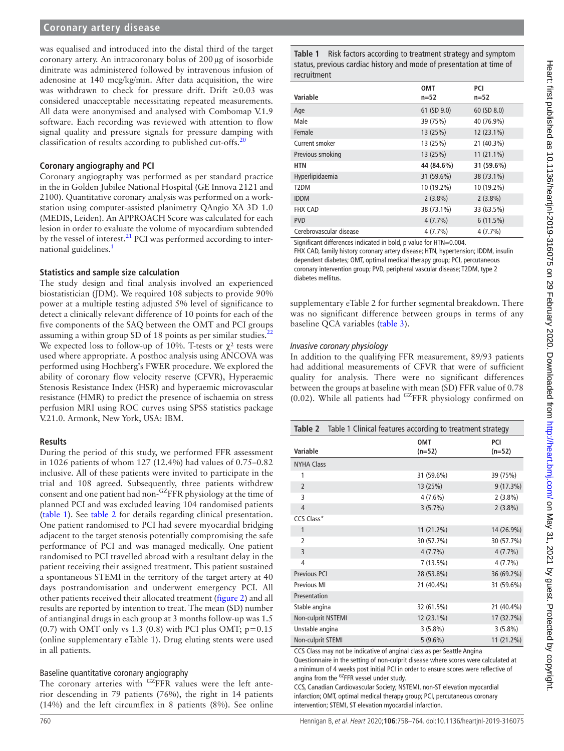#### **Coronary artery disease**

was equalised and introduced into the distal third of the target coronary artery. An intracoronary bolus of 200µg of isosorbide dinitrate was administered followed by intravenous infusion of adenosine at 140 mcg/kg/min. After data acquisition, the wire was withdrawn to check for pressure drift. Drift ≥0.03 was considered unacceptable necessitating repeated measurements. All data were anonymised and analysed with Combomap V.1.9 software. Each recording was reviewed with attention to flow signal quality and pressure signals for pressure damping with classification of results according to published cut-offs.<sup>[20](#page-6-4)</sup>

#### **Coronary angiography and PCI**

Coronary angiography was performed as per standard practice in the in Golden Jubilee National Hospital (GE Innova 2121 and 2100). Quantitative coronary analysis was performed on a workstation using computer-assisted planimetry QAngio XA 3D 1.0 (MEDIS, Leiden). An APPROACH Score was calculated for each lesion in order to evaluate the volume of myocardium subtended by the vessel of interest. $^{21}$  PCI was performed according to inter-national guidelines.<sup>[1](#page-5-0)</sup>

#### **Statistics and sample size calculation**

The study design and final analysis involved an experienced biostatistician (JDM). We required 108 subjects to provide 90% power at a multiple testing adjusted 5% level of significance to detect a clinically relevant difference of 10 points for each of the five components of the SAQ between the OMT and PCI groups assuming a within group SD of 18 points as per similar studies.<sup>2</sup> We expected loss to follow-up of 10%. T-tests or  $\chi^2$  tests were used where appropriate. A posthoc analysis using ANCOVA was performed using Hochberg's FWER procedure. We explored the ability of coronary flow velocity reserve (CFVR), Hyperaemic Stenosis Resistance Index (HSR) and hyperaemic microvascular resistance (HMR) to predict the presence of ischaemia on stress perfusion MRI using ROC curves using SPSS statistics package V.21.0. Armonk, New York, USA: IBM.

#### **Results**

During the period of this study, we performed FFR assessment in 1026 patients of whom 127 (12.4%) had values of 0.75–0.82 inclusive. All of these patients were invited to participate in the trial and 108 agreed. Subsequently, three patients withdrew consent and one patient had non-GZFFR physiology at the time of planned PCI and was excluded leaving 104 randomised patients [\(table](#page-2-0) 1). See [table](#page-2-1) 2 for details regarding clinical presentation. One patient randomised to PCI had severe myocardial bridging adjacent to the target stenosis potentially compromising the safe performance of PCI and was managed medically. One patient randomised to PCI travelled abroad with a resultant delay in the patient receiving their assigned treatment. This patient sustained a spontaneous STEMI in the territory of the target artery at 40 days postrandomisation and underwent emergency PCI. All other patients received their allocated treatment ([figure](#page-3-0) 2) and all results are reported by intention to treat. The mean (SD) number of antianginal drugs in each group at 3 months follow-up was 1.5  $(0.7)$  with OMT only vs 1.3  $(0.8)$  with PCI plus OMT; p=0.15 [\(online supplementary eTable 1](https://dx.doi.org/10.1136/heartjnl-2019-316075)). Drug eluting stents were used in all patients.

#### Baseline quantitative coronary angiography

The coronary arteries with  $GZ$ FFR values were the left anterior descending in 79 patients (76%), the right in 14 patients (14%) and the left circumflex in 8 patients (8%). See [online](https://dx.doi.org/10.1136/heartjnl-2019-316075) 

<span id="page-2-0"></span>**Table 1** Risk factors according to treatment strategy and symptom status, previous cardiac history and mode of presentation at time of recruitment

|                         | <b>OMT</b>  | PCI          |
|-------------------------|-------------|--------------|
| Variable                | $n = 52$    | $n = 52$     |
| Age                     | 61 (SD 9.0) | 60 (SD 8.0)  |
| Male                    | 39 (75%)    | 40 (76.9%)   |
| Female                  | 13 (25%)    | 12 (23.1%)   |
| Current smoker          | 13 (25%)    | 21 (40.3%)   |
| Previous smoking        | 13 (25%)    | $11(21.1\%)$ |
| HTN                     | 44 (84.6%)  | 31 (59.6%)   |
| Hyperlipidaemia         | 31 (59.6%)  | 38 (73.1%)   |
| T <sub>2</sub> DM       | 10 (19.2%)  | 10 (19.2%)   |
| <b>IDDM</b>             | $2(3.8\%)$  | $2(3.8\%)$   |
| <b>FHX CAD</b>          | 38 (73.1%)  | 33 (63.5%)   |
| <b>PVD</b>              | $4(7.7\%)$  | 6(11.5%)     |
| Cerebrovascular disease | $4(7.7\%)$  | 4(7.7%)      |

Significant differences indicated in bold, p value for HTN=0.004.

FHX CAD, family history coronary artery disease; HTN, hypertension; IDDM, insulin dependent diabetes; OMT, optimal medical therapy group; PCI, percutaneous coronary intervention group; PVD, peripheral vascular disease; T2DM, type 2 diabetes mellitus.

[supplementary eTable 2](https://dx.doi.org/10.1136/heartjnl-2019-316075) for further segmental breakdown. There was no significant difference between groups in terms of any baseline QCA variables [\(table](#page-3-1) 3).

### *Invasive coronary physiology*

In addition to the qualifying FFR measurement, 89/93 patients had additional measurements of CFVR that were of sufficient quality for analysis. There were no significant differences between the groups at baseline with mean (SD) FFR value of 0.78  $(0.02)$ . While all patients had <sup>GZ</sup>FFR physiology confirmed on

<span id="page-2-1"></span>

| Table 2<br>Table 1 Clinical features according to treatment strategy   |                        |                 |  |  |
|------------------------------------------------------------------------|------------------------|-----------------|--|--|
| <b>Variable</b>                                                        | <b>OMT</b><br>$(n=52)$ | PCI<br>$(n=52)$ |  |  |
| <b>NYHA Class</b>                                                      |                        |                 |  |  |
| 1                                                                      | 31 (59.6%)             | 39 (75%)        |  |  |
| $\overline{2}$                                                         | 13 (25%)               | 9(17.3%)        |  |  |
| 3                                                                      | $4(7.6\%)$             | $2(3.8\%)$      |  |  |
| $\overline{4}$                                                         | $3(5.7\%)$             | $2(3.8\%)$      |  |  |
| CCS Class*                                                             |                        |                 |  |  |
| 1                                                                      | 11 (21.2%)             | 14 (26.9%)      |  |  |
| $\overline{2}$                                                         | 30 (57.7%)             | 30 (57.7%)      |  |  |
| $\overline{3}$                                                         | $4(7.7\%)$             | $4(7.7\%)$      |  |  |
| $\overline{4}$                                                         | 7(13.5%)               | 4 (7.7%)        |  |  |
| <b>Previous PCI</b>                                                    | 28 (53.8%)             | 36 (69.2%)      |  |  |
| Previous MI                                                            | 21 (40.4%)             | 31 (59.6%)      |  |  |
| Presentation                                                           |                        |                 |  |  |
| Stable angina                                                          | 32 (61.5%)             | 21 (40.4%)      |  |  |
| Non-culprit NSTEMI                                                     | 12 (23.1%)             | 17 (32.7%)      |  |  |
| Unstable angina                                                        | $3(5.8\%)$             | $3(5.8\%)$      |  |  |
| Non-culprit STEMI                                                      | $5(9.6\%)$             | 11 (21.2%)      |  |  |
| CCC Class may not be indicative of anginal class as nor Coattle Angina |                        |                 |  |  |

CCS Class may not be indicative of anginal class as per Seattle Angina

Questionnaire in the setting of non-culprit disease where scores were calculated at a minimum of 4 weeks post initial PCI in order to ensure scores were reflective of angina from the <sup>GZ</sup>FFR vessel under study.

CCS, Canadian Cardiovascular Society; NSTEMI, non-ST elevation myocardial infarction; OMT, optimal medical therapy group; PCI, percutaneous coronary intervention; STEMI, ST elevation myocardial infarction.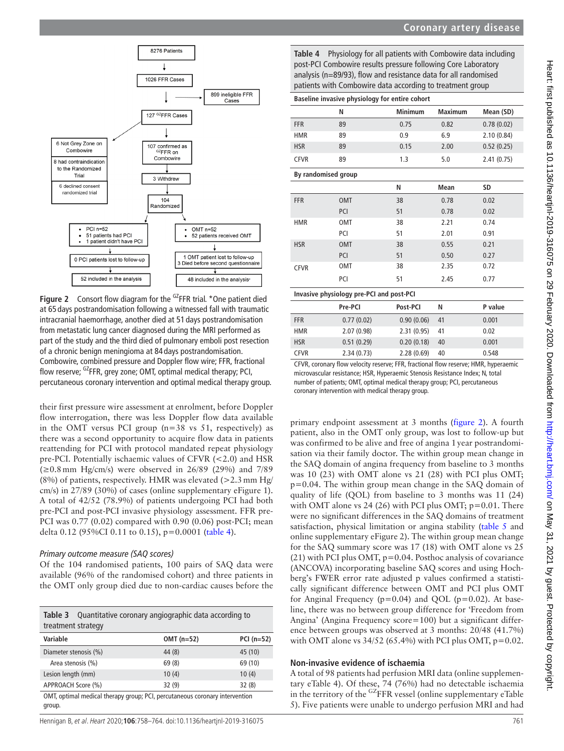

<span id="page-3-0"></span>Figure 2 Consort flow diagram for the <sup>GZ</sup>FFR trial. \*One patient died at 65 days postrandomisation following a witnessed fall with traumatic intracranial haemorrhage, another died at 51 days postrandomisation from metastatic lung cancer diagnosed during the MRI performed as part of the study and the third died of pulmonary emboli post resection of a chronic benign meningioma at 84 days postrandomisation. Combowire, combined pressure and Doppler flow wire; FFR, fractional flow reserve; <sup>GZ</sup>FFR, grey zone; OMT, optimal medical therapy; PCI, percutaneous coronary intervention and optimal medical therapy group.

their first pressure wire assessment at enrolment, before Doppler flow interrogation, there was less Doppler flow data available in the OMT versus PCI group  $(n=38 \text{ vs } 51, \text{ respectively})$  as there was a second opportunity to acquire flow data in patients reattending for PCI with protocol mandated repeat physiology pre-PCI. Potentially ischaemic values of CFVR (<2.0) and HSR  $(\geq 0.8$  mm Hg/cm/s) were observed in 26/89 (29%) and 7/89 (8%) of patients, respectively. HMR was elevated (>2.3mm Hg/ cm/s) in 27/89 (30%) of cases [\(online supplementary eFigure 1](https://dx.doi.org/10.1136/heartjnl-2019-316075)). A total of 42/52 (78.9%) of patients undergoing PCI had both pre-PCI and post-PCI invasive physiology assessment. FFR pre-PCI was 0.77 (0.02) compared with 0.90 (0.06) post-PCI; mean delta 0.12 (95%CI 0.11 to 0.15), p=0.0001 ([table](#page-3-2) 4).

#### *Primary outcome measure (SAQ scores)*

Of the 104 randomised patients, 100 pairs of SAQ data were available (96% of the randomised cohort) and three patients in the OMT only group died due to non-cardiac causes before the

<span id="page-3-1"></span>

| Table 3<br>treatment strategy                                             | Quantitative coronary angiographic data according to |              |  |
|---------------------------------------------------------------------------|------------------------------------------------------|--------------|--|
| Variable                                                                  | $OMT(n=52)$                                          | PCI $(n=52)$ |  |
| Diameter stenosis (%)                                                     | 44 (8)                                               | 45 (10)      |  |
| Area stenosis (%)                                                         | 69(8)                                                | 69 (10)      |  |
| Lesion length (mm)                                                        | 10(4)                                                | 10(4)        |  |
| APPROACH Score (%)                                                        | 32(9)                                                | 32(8)        |  |
| OMT optimal medical therapy group: PCL percutaneous coronary intervention |                                                      |              |  |

OMT, optimal medical therapy group; PCI, percutaneous coronary intervention group.

<span id="page-3-2"></span>**Table 4** Physiology for all patients with Combowire data including post-PCI Combowire results pressure following Core Laboratory analysis (n=89/93), flow and resistance data for all randomised patients with Combowire data according to treatment group

| Baseline invasive physiology for entire cohort |             |                |                |             |  |
|------------------------------------------------|-------------|----------------|----------------|-------------|--|
|                                                | N           | <b>Minimum</b> | <b>Maximum</b> | Mean (SD)   |  |
| <b>FFR</b>                                     | 89          | 0.75           | 0.82           | 0.78(0.02)  |  |
| <b>HMR</b>                                     | 89          | 0.9            | 6.9            | 2.10 (0.84) |  |
| <b>HSR</b>                                     | 89          | 0.15           | 2.00           | 0.52(0.25)  |  |
| 89<br><b>CFVR</b>                              |             | 1.3            | 5.0            | 2.41(0.75)  |  |
| By randomised group                            |             |                |                |             |  |
|                                                |             | Ν              | Mean           | SD          |  |
| <b>FFR</b>                                     | <b>OMT</b>  | 38             | 0.78           | 0.02        |  |
|                                                | PCI         | 51             | 0.78           | 0.02        |  |
| <b>HMR</b>                                     | <b>OMT</b>  | 38             | 2.21           | 0.74        |  |
|                                                | PCI         | 51             | 2.01           | 0.91        |  |
| <b>HSR</b>                                     | <b>OMT</b>  | 38             | 0.55           | 0.21        |  |
|                                                | PCI         | 51             | 0.50           | 0.27        |  |
| <b>CFVR</b>                                    | <b>OMT</b>  | 38             | 2.35           | 0.72        |  |
|                                                | PCI         | 51             | 2.45           | 0.77        |  |
| Invasive physiology pre-PCI and post-PCI       |             |                |                |             |  |
|                                                | Pre-PCI     | Post-PCI       | N              | P value     |  |
| <b>FFR</b>                                     | 0.77(0.02)  | 0.90(0.06)     | 41             | 0.001       |  |
| <b>HMR</b>                                     | 2.07 (0.98) | 2.31(0.95)     | 41             | 0.02        |  |
| <b>HSR</b>                                     | 0.51(0.29)  | 0.20(0.18)     | 40             | 0.001       |  |
| <b>CFVR</b>                                    | 2.34 (0.73) | 2.28(0.69)     | 40             | 0.548       |  |

CFVR, coronary flow velocity reserve; FFR, fractional flow reserve; HMR, hyperaemic microvascular resistance; HSR, Hyperaemic Stenosis Resistance Index; N, total number of patients; OMT, optimal medical therapy group; PCI, percutaneous coronary intervention with medical therapy group.

primary endpoint assessment at 3 months ([figure](#page-3-0) 2). A fourth patient, also in the OMT only group, was lost to follow-up but was confirmed to be alive and free of angina 1year postrandomisation via their family doctor. The within group mean change in the SAQ domain of angina frequency from baseline to 3 months was 10 (23) with OMT alone vs 21 (28) with PCI plus OMT; p=0.04. The within group mean change in the SAQ domain of quality of life (QOL) from baseline to 3 months was 11 (24) with OMT alone vs 24 (26) with PCI plus OMT; p=0.01. There were no significant differences in the SAQ domains of treatment satisfaction, physical limitation or angina stability ([table](#page-4-0) 5 and [online supplementary eFigure 2](https://dx.doi.org/10.1136/heartjnl-2019-316075)). The within group mean change for the SAQ summary score was 17 (18) with OMT alone vs 25 (21) with PCI plus OMT, p=0.04. Posthoc analysis of covariance (ANCOVA) incorporating baseline SAQ scores and using Hochberg's FWER error rate adjusted p values confirmed a statistically significant difference between OMT and PCI plus OMT for Anginal Frequency ( $p=0.04$ ) and QOL ( $p=0.02$ ). At baseline, there was no between group difference for 'Freedom from Angina' (Angina Frequency score=100) but a significant difference between groups was observed at 3 months: 20/48 (41.7%) with OMT alone vs  $34/52$  (65.4%) with PCI plus OMT,  $p=0.02$ .

#### **Non-invasive evidence of ischaemia**

A total of 98 patients had perfusion MRI data ([online supplemen](https://dx.doi.org/10.1136/heartjnl-2019-316075)[tary eTable 4](https://dx.doi.org/10.1136/heartjnl-2019-316075)). Of these, 74 (76%) had no detectable ischaemia in the territory of the <sup>GZ</sup>FFR vessel ([online supplementary eTable](https://dx.doi.org/10.1136/heartjnl-2019-316075) [5\)](https://dx.doi.org/10.1136/heartjnl-2019-316075). Five patients were unable to undergo perfusion MRI and had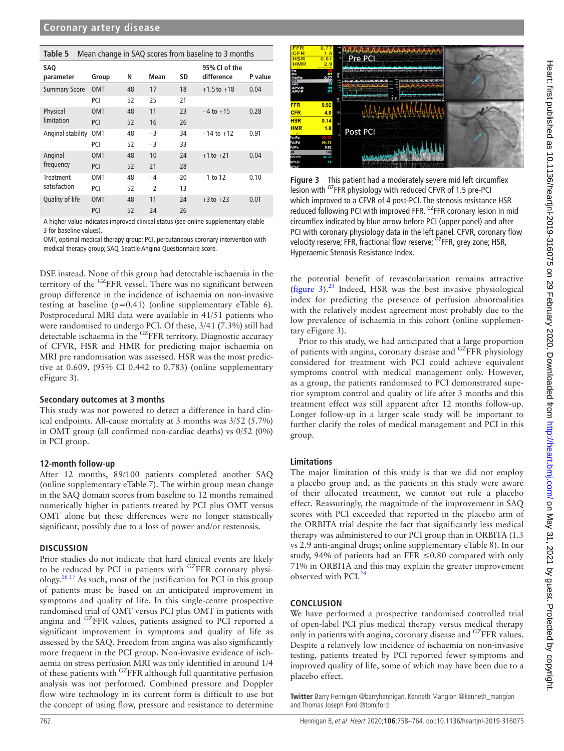<span id="page-4-0"></span>

|  | Table 5 Mean change in SAQ scores from baseline to 3 months |  |
|--|-------------------------------------------------------------|--|
|--|-------------------------------------------------------------|--|

|  | <b>SAQ</b><br>parameter | Group      | N  | Mean           | SD | 95% CL of the<br>difference | P value |
|--|-------------------------|------------|----|----------------|----|-----------------------------|---------|
|  | <b>Summary Score</b>    | <b>OMT</b> | 48 | 17             | 18 | $+1.5$ to $+18$             | 0.04    |
|  |                         | PCI        | 52 | 25             | 21 |                             |         |
|  | Physical                | <b>OMT</b> | 48 | 11             | 23 | $-4$ to $+15$               | 0.28    |
|  | limitation              | PCI        | 52 | 16             | 26 |                             |         |
|  | Anginal stability       | <b>OMT</b> | 48 | $-3$           | 34 | $-14$ to $+12$              | 0.91    |
|  |                         | PCI        | 52 | $-3$           | 33 |                             |         |
|  | Anginal                 | <b>OMT</b> | 48 | 10             | 24 | $+1$ to $+21$               | 0.04    |
|  | frequency               | <b>PCI</b> | 52 | 21             | 28 |                             |         |
|  | <b>Treatment</b>        | <b>OMT</b> | 48 | $-4$           | 20 | $-1$ to 12                  | 0.10    |
|  | satisfaction            | PCI        | 52 | $\overline{2}$ | 13 |                             |         |
|  | Quality of life         | <b>OMT</b> | 48 | 11             | 24 | $+3$ to $+23$               | 0.01    |
|  |                         | <b>PCI</b> | 52 | 24             | 26 |                             |         |

A higher value indicates improved clinical status (see online supplementary eTable 3 for baseline values).

OMT, optimal medical therapy group; PCI, percutaneous coronary intervention with medical therapy group; SAQ, Seattle Angina Questionnaire score.

DSE instead. None of this group had detectable ischaemia in the territory of the <sup>GZ</sup>FFR vessel. There was no significant between group difference in the incidence of ischaemia on non-invasive testing at baseline  $(p=0.41)$  [\(online supplementary eTable 6](https://dx.doi.org/10.1136/heartjnl-2019-316075)). Postprocedural MRI data were available in 41/51 patients who were randomised to undergo PCI. Of these, 3/41 (7.3%) still had detectable ischaemia in the GZFFR territory. Diagnostic accuracy of CFVR, HSR and HMR for predicting major ischaemia on MRI pre randomisation was assessed. HSR was the most predictive at 0.609, (95% CI 0.442 to 0.783) [\(online supplementary](https://dx.doi.org/10.1136/heartjnl-2019-316075)  [eFigure 3](https://dx.doi.org/10.1136/heartjnl-2019-316075)).

#### **Secondary outcomes at 3 months**

This study was not powered to detect a difference in hard clinical endpoints. All-cause mortality at 3 months was 3/52 (5.7%) in OMT group (all confirmed non-cardiac deaths) vs 0/52 (0%) in PCI group.

#### **12-month follow-up**

After 12 months, 89/100 patients completed another SAQ ([online supplementary eTable 7\)](https://dx.doi.org/10.1136/heartjnl-2019-316075). The within group mean change in the SAQ domain scores from baseline to 12 months remained numerically higher in patients treated by PCI plus OMT versus OMT alone but these differences were no longer statistically significant, possibly due to a loss of power and/or restenosis.

#### **Discussion**

Prior studies do not indicate that hard clinical events are likely to be reduced by PCI in patients with <sup>GZ</sup>FFR coronary physiology.[16 17](#page-6-0) As such, most of the justification for PCI in this group of patients must be based on an anticipated improvement in symptoms and quality of life. In this single-centre prospective randomised trial of OMT versus PCI plus OMT in patients with angina and <sup>GZ</sup>FFR values, patients assigned to PCI reported a significant improvement in symptoms and quality of life as assessed by the SAQ. Freedom from angina was also significantly more frequent in the PCI group. Non-invasive evidence of ischaemia on stress perfusion MRI was only identified in around 1/4 of these patients with GZFFR although full quantitative perfusion analysis was not performed. Combined pressure and Doppler flow wire technology in its current form is difficult to use but the concept of using flow, pressure and resistance to determine



**Figure 3** This patient had a moderately severe mid left circumflex lesion with <sup>GZ</sup>FFR physiology with reduced CFVR of 1.5 pre-PCI which improved to a CFVR of 4 post-PCI. The stenosis resistance HSR reduced following PCI with improved FFR. GZFFR coronary lesion in mid circumflex indicated by blue arrow before PCI (upper panel) and after PCI with coronary physiology data in the left panel. CFVR, coronary flow velocity reserve; FFR, fractional flow reserve; GZFFR, grey zone; HSR, Hyperaemic Stenosis Resistance Index.

<span id="page-4-1"></span>the potential benefit of revascularisation remains attractive ([figure](#page-4-1) 3). $^{23}$  Indeed, HSR was the best invasive physiological index for predicting the presence of perfusion abnormalities with the relatively modest agreement most probably due to the low prevalence of ischaemia in this cohort [\(online supplemen](https://dx.doi.org/10.1136/heartjnl-2019-316075)[tary eFigure 3](https://dx.doi.org/10.1136/heartjnl-2019-316075)).

Prior to this study, we had anticipated that a large proportion of patients with angina, coronary disease and <sup>GZ</sup>FFR physiology considered for treatment with PCI could achieve equivalent symptoms control with medical management only. However, as a group, the patients randomised to PCI demonstrated superior symptom control and quality of life after 3 months and this treatment effect was still apparent after 12 months follow-up. Longer follow-up in a larger scale study will be important to further clarify the roles of medical management and PCI in this group.

#### **Limitations**

The major limitation of this study is that we did not employ a placebo group and, as the patients in this study were aware of their allocated treatment, we cannot out rule a placebo effect. Reassuringly, the magnitude of the improvement in SAQ scores with PCI exceeded that reported in the placebo arm of the ORBITA trial despite the fact that significantly less medical therapy was administered to our PCI group than in ORBITA (1.3 vs 2.9 anti-anginal drugs; [online supplementary eTable 8](https://dx.doi.org/10.1136/heartjnl-2019-316075)). In our study, 94% of patients had an FFR  $\leq 0.80$  compared with only 71% in ORBITA and this may explain the greater improvement observed with PCI.<sup>[24](#page-6-8)</sup>

#### **Conclusion**

We have performed a prospective randomised controlled trial of open-label PCI plus medical therapy versus medical therapy only in patients with angina, coronary disease and <sup>GZ</sup>FFR values. Despite a relatively low incidence of ischaemia on non-invasive testing, patients treated by PCI reported fewer symptoms and improved quality of life, some of which may have been due to a placebo effect.

**Twitter** Barry Hennigan [@barryhennigan](https://twitter.com/barryhennigan), Kenneth Mangion [@kenneth\\_mangion](https://twitter.com/kenneth_mangion)  and Thomas Joseph Ford [@tomjford](https://twitter.com/tomjford)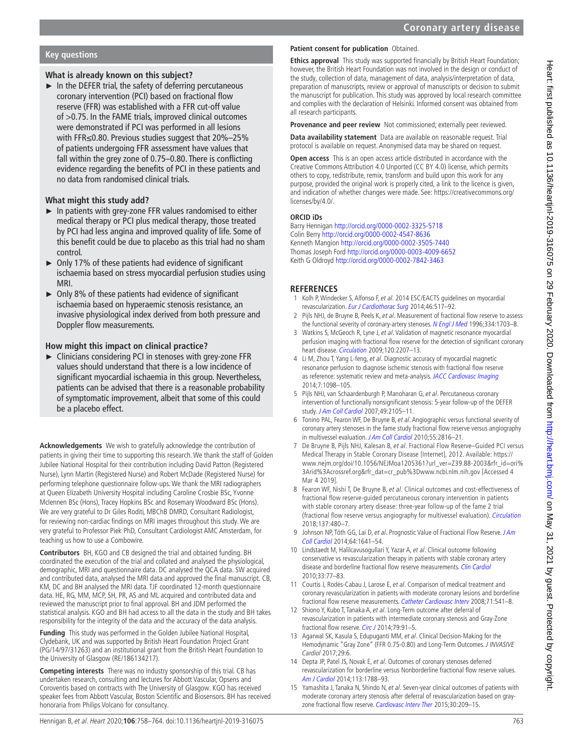## **Key questions**

## **What is already known on this subject?**

 $\blacktriangleright$  In the DEFER trial, the safety of deferring percutaneous coronary intervention (PCI) based on fractional flow reserve (FFR) was established with a FFR cut-off value of >0.75. In the FAME trials, improved clinical outcomes were demonstrated if PCI was performed in all lesions with FFR≤0.80. Previous studies suggest that 20%–25% of patients undergoing FFR assessment have values that fall within the grey zone of 0.75–0.80. There is conflicting evidence regarding the benefits of PCI in these patients and no data from randomised clinical trials.

## **What might this study add?**

- ► In patients with grey-zone FFR values randomised to either medical therapy or PCI plus medical therapy, those treated by PCI had less angina and improved quality of life. Some of this benefit could be due to placebo as this trial had no sham control.
- ► Only 17% of these patients had evidence of significant ischaemia based on stress myocardial perfusion studies using MRI.
- ► Only 8% of these patients had evidence of significant ischaemia based on hyperaemic stenosis resistance, an invasive physiological index derived from both pressure and Doppler flow measurements.

## **How might this impact on clinical practice?**

► Clinicians considering PCI in stenoses with grey-zone FFR values should understand that there is a low incidence of significant myocardial ischaemia in this group. Nevertheless, patients can be advised that there is a reasonable probability of symptomatic improvement, albeit that some of this could be a placebo effect.

**Acknowledgements** We wish to gratefully acknowledge the contribution of patients in giving their time to supporting this research. We thank the staff of Golden Jubilee National Hospital for their contribution including David Patton (Registered Nurse), Lynn Martin (Registered Nurse) and Robert McDade (Registered Nurse) for performing telephone questionnaire follow-ups. We thank the MRI radiographers at Queen Elizabeth University Hospital including Caroline Crosbie BSc, Yvonne McIennen BSc (Hons), Tracey Hopkins BSc and Rosemary Woodward BSc (Hons). We are very grateful to Dr Giles Roditi, MBChB DMRD, Consultant Radiologist, for reviewing non-cardiac findings on MRI images throughout this study. We are very grateful to Professor Piek PhD, Consultant Cardiologist AMC Amsterdam, for teaching us how to use a Combowire.

**Contributors** BH, KGO and CB designed the trial and obtained funding. BH coordinated the execution of the trial and collated and analysed the physiological, demographic, MRI and questionnaire data. DC analysed the QCA data. SW acquired and contributed data, analysed the MRI data and approved the final manuscript. CB, KM, DC and BH analysed the MRI data. TJF coordinated 12-month questionnaire data. HE, RG, MM, MCP, SH, PR, AS and ML acquired and contributed data and reviewed the manuscript prior to final approval. BH and JDM performed the statistical analysis. KGO and BH had access to all the data in the study and BH takes responsibility for the integrity of the data and the accuracy of the data analysis.

**Funding** This study was performed in the Golden Jubilee National Hospital, Clydebank, UK and was supported by British Heart Foundation Project Grant (PG/14/97/31263) and an institutional grant from the British Heart Foundation to the University of Glasgow (RE/186134217).

**Competing interests** There was no industry sponsorship of this trial. CB has undertaken research, consulting and lectures for Abbott Vascular, Opsens and Coroventis based on contracts with The University of Glasgow. KGO has received speaker fees from Abbott Vascular, Boston Scientific and Biosensors. BH has received honoraria from Philips Volcano for consultancy.

# **Patient consent for publication** Obtained.

**Ethics approval** This study was supported financially by British Heart Foundation; however, the British Heart Foundation was not involved in the design or conduct of the study, collection of data, management of data, analysis/interpretation of data, preparation of manuscripts, review or approval of manuscripts or decision to submit the manuscript for publication. This study was approved by local research committee and complies with the declaration of Helsinki. Informed consent was obtained from all research participants.

**Provenance and peer review** Not commissioned; externally peer reviewed.

**Data availability statement** Data are available on reasonable request. Trial protocol is available on request. Anonymised data may be shared on request.

**Open access** This is an open access article distributed in accordance with the Creative Commons Attribution 4.0 Unported (CC BY 4.0) license, which permits others to copy, redistribute, remix, transform and build upon this work for any purpose, provided the original work is properly cited, a link to the licence is given, and indication of whether changes were made. See: [https://creativecommons.org/](https://creativecommons.org/licenses/by/4.0/) [licenses/by/4.0/.](https://creativecommons.org/licenses/by/4.0/)

#### **ORCID iDs**

Barry Hennigan<http://orcid.org/0000-0002-3325-5718> Colin Berry<http://orcid.org/0000-0002-4547-8636> Kenneth Mangion<http://orcid.org/0000-0002-3505-7440> Thomas Joseph Ford<http://orcid.org/0000-0003-4009-6652> Keith G Oldroyd <http://orcid.org/0000-0002-7842-3463>

# **References**

- <span id="page-5-0"></span>1 Kolh P, Windecker S, Alfonso F, et al. 2014 ESC/EACTS guidelines on myocardial revascularization. [Eur J Cardiothorac Surg](http://dx.doi.org/10.1093/ejcts/ezu366) 2014;46:517–92.
- <span id="page-5-1"></span>2 Pijls NHJ, de Bruyne B, Peels K, et al. Measurement of fractional flow reserve to assess the functional severity of coronary-artery stenoses. [N Engl J Med](http://dx.doi.org/10.1056/NEJM199606273342604) 1996;334:1703-8.
- <span id="page-5-2"></span>3 Watkins S, McGeoch R, Lyne J, et al. Validation of magnetic resonance myocardial perfusion imaging with fractional flow reserve for the detection of significant coronary heart disease. [Circulation](http://dx.doi.org/10.1161/CIRCULATIONAHA.109.872358) 2009;120:2207-13.
- 4 Li M, Zhou T, Yang L-feng, et al. Diagnostic accuracy of myocardial magnetic resonance perfusion to diagnose ischemic stenosis with fractional flow reserve as reference: systematic review and meta-analysis. [JACC Cardiovasc Imaging](http://dx.doi.org/10.1016/j.jcmg.2014.07.011) 2014;7:1098–105.
- <span id="page-5-3"></span>5 Pijls NHJ, van Schaardenburgh P, Manoharan G, et al. Percutaneous coronary intervention of functionally nonsignificant stenosis: 5-year follow-up of the DEFER study. [J Am Coll Cardiol](http://dx.doi.org/10.1016/j.jacc.2007.01.087) 2007;49:2105–11.
- <span id="page-5-4"></span>6 Tonino PAL, Fearon WF, De Bruyne B, et al. Angiographic versus functional severity of coronary artery stenoses in the fame study fractional flow reserve versus angiography in multivessel evaluation. [J Am Coll Cardiol](http://dx.doi.org/10.1016/j.jacc.2009.11.096) 2010;55:2816-21.
- 7 De Bruyne B, Pijls NHJ, Kalesan B, et al. Fractional Flow Reserve–Guided PCI versus Medical Therapy in Stable Coronary Disease [Internet], 2012. Available: [https://](https://www.nejm.org/doi/10.1056/NEJMoa1205361?url_ver=Z39.88-2003&rfr_id=ori%3Arid%3Acrossref.org&rfr_dat=cr_pub%3Dwww.ncbi.nlm.nih.gov) [www.nejm.org/doi/10.1056/NEJMoa1205361?url\\_ver=Z39.88-2003&rfr\\_id=ori%](https://www.nejm.org/doi/10.1056/NEJMoa1205361?url_ver=Z39.88-2003&rfr_id=ori%3Arid%3Acrossref.org&rfr_dat=cr_pub%3Dwww.ncbi.nlm.nih.gov) [3Arid%3Acrossref.org&rfr\\_dat=cr\\_pub%3Dwww.ncbi.nlm.nih.gov](https://www.nejm.org/doi/10.1056/NEJMoa1205361?url_ver=Z39.88-2003&rfr_id=ori%3Arid%3Acrossref.org&rfr_dat=cr_pub%3Dwww.ncbi.nlm.nih.gov) [Accessed 4 Mar 4 2019].
- <span id="page-5-5"></span>8 Fearon WF, Nishi T, De Bruyne B, et al. Clinical outcomes and cost-effectiveness of fractional flow reserve-guided percutaneous coronary intervention in patients with stable coronary artery disease: three-year follow-up of the fame 2 trial (fractional flow reserve versus angiography for multivessel evaluation). [Circulation](http://dx.doi.org/10.1161/CIRCULATIONAHA.117.031907) 2018;137:480–7.
- <span id="page-5-6"></span>9 Johnson NP, Tóth GG, Lai D, et al. Prognostic Value of Fractional Flow Reserve. J Am [Coll Cardiol](http://dx.doi.org/10.1016/j.jacc.2014.07.973) 2014;64:1641–54.
- <span id="page-5-7"></span>10 Lindstaedt M, Halilcavusogullari Y, Yazar A, et al. Clinical outcome following conservative vs revascularization therapy in patients with stable coronary artery disease and borderline fractional flow reserve measurements. [Clin Cardiol](http://dx.doi.org/10.1002/clc.20693) 2010;33:77–83.
- 11 Courtis J, Rodés-Cabau J, Larose E, et al. Comparison of medical treatment and coronary revascularization in patients with moderate coronary lesions and borderline fractional flow reserve measurements. [Catheter Cardiovasc Interv](http://dx.doi.org/10.1002/ccd.21406) 2008;71:541-8.
- 12 Shiono Y, Kubo T, Tanaka A, et al. Long-Term outcome after deferral of revascularization in patients with intermediate coronary stenosis and Gray-Zone fractional flow reserve. [Circ J](http://dx.doi.org/10.1253/circj.CJ-14-0671) 2014;79:91-5.
- 13 Agarwal SK, Kasula S, Edupuganti MM, et al. Clinical Decision-Making for the Hemodynamic "Gray Zone" (FFR 0.75-0.80) and Long-Term Outcomes. J INVASIVE Cardiol 2017;29:6.
- 14 Depta JP, Patel JS, Novak E, et al. Outcomes of coronary stenoses deferred revascularization for borderline versus Nonborderline fractional flow reserve values. [Am J Cardiol](http://dx.doi.org/10.1016/j.amjcard.2014.03.004) 2014;113:1788-93.
- 15 Yamashita J, Tanaka N, Shindo N, et al. Seven-year clinical outcomes of patients with moderate coronary artery stenosis after deferral of revascularization based on gray-zone fractional flow reserve. [Cardiovasc Interv Ther](http://dx.doi.org/10.1007/s12928-014-0302-4) 2015;30:209-15.